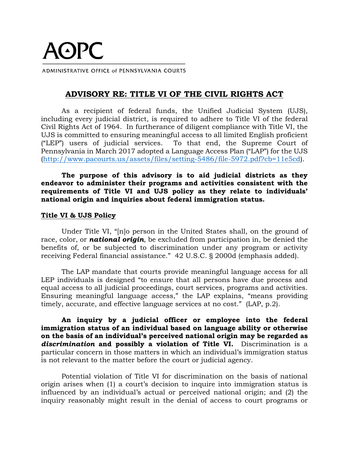# **AOPC**

ADMINISTRATIVE OFFICE of PENNSYLVANIA COURTS

# **ADVISORY RE: TITLE VI OF THE CIVIL RIGHTS ACT**

As a recipient of federal funds, the Unified Judicial System (UJS), including every judicial district, is required to adhere to Title VI of the federal Civil Rights Act of 1964. In furtherance of diligent compliance with Title VI, the UJS is committed to ensuring meaningful access to all limited English proficient ("LEP") users of judicial services. To that end, the Supreme Court of Pennsylvania in March 2017 adopted a Language Access Plan ("LAP") for the UJS [\(http://www.pacourts.us/assets/files/setting-5486/file-5972.pdf?cb=11e5cd\)](http://www.pacourts.us/assets/files/setting-5486/file-5972.pdf?cb=11e5cd).

**The purpose of this advisory is to aid judicial districts as they endeavor to administer their programs and activities consistent with the requirements of Title VI and UJS policy as they relate to individuals' national origin and inquiries about federal immigration status.**

#### **Title VI & UJS Policy**

Under Title VI, "[n]o person in the United States shall, on the ground of race, color, or *national origin*, be excluded from participation in, be denied the benefits of, or be subjected to discrimination under any program or activity receiving Federal financial assistance." 42 U.S.C. § 2000d (emphasis added).

The LAP mandate that courts provide meaningful language access for all LEP individuals is designed "to ensure that all persons have due process and equal access to all judicial proceedings, court services, programs and activities. Ensuring meaningful language access," the LAP explains, "means providing timely, accurate, and effective language services at no cost." (LAP, p.2).

**An inquiry by a judicial officer or employee into the federal immigration status of an individual based on language ability or otherwise on the basis of an individual's perceived national origin may be regarded as**  *discrimination* **and possibly a violation of Title VI.** Discrimination is a particular concern in those matters in which an individual's immigration status is not relevant to the matter before the court or judicial agency.

Potential violation of Title VI for discrimination on the basis of national origin arises when (1) a court's decision to inquire into immigration status is influenced by an individual's actual or perceived national origin; and (2) the inquiry reasonably might result in the denial of access to court programs or